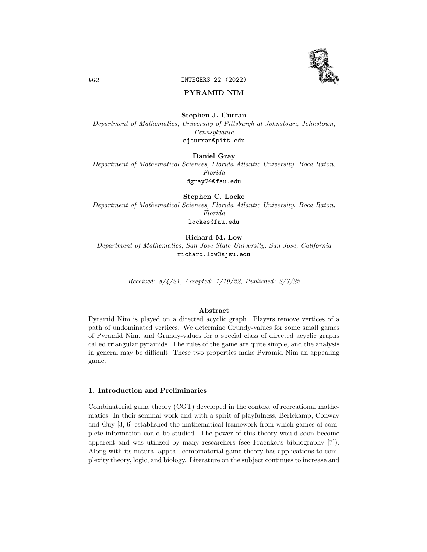

# PYRAMID NIM

#### Stephen J. Curran

Department of Mathematics, University of Pittsburgh at Johnstown, Johnstown, Pennsylvania sjcurran@pitt.edu

## Daniel Gray

Department of Mathematical Sciences, Florida Atlantic University, Boca Raton, Florida dgray24@fau.edu

Stephen C. Locke Department of Mathematical Sciences, Florida Atlantic University, Boca Raton, Florida lockes@fau.edu

Richard M. Low

Department of Mathematics, San Jose State University, San Jose, California richard.low@sjsu.edu

Received: 8/4/21, Accepted: 1/19/22, Published: 2/7/22

## Abstract

Pyramid Nim is played on a directed acyclic graph. Players remove vertices of a path of undominated vertices. We determine Grundy-values for some small games of Pyramid Nim, and Grundy-values for a special class of directed acyclic graphs called triangular pyramids. The rules of the game are quite simple, and the analysis in general may be difficult. These two properties make Pyramid Nim an appealing game.

## 1. Introduction and Preliminaries

Combinatorial game theory (CGT) developed in the context of recreational mathematics. In their seminal work and with a spirit of playfulness, Berlekamp, Conway and Guy [3, 6] established the mathematical framework from which games of complete information could be studied. The power of this theory would soon become apparent and was utilized by many researchers (see Fraenkel's bibliography [7]). Along with its natural appeal, combinatorial game theory has applications to complexity theory, logic, and biology. Literature on the subject continues to increase and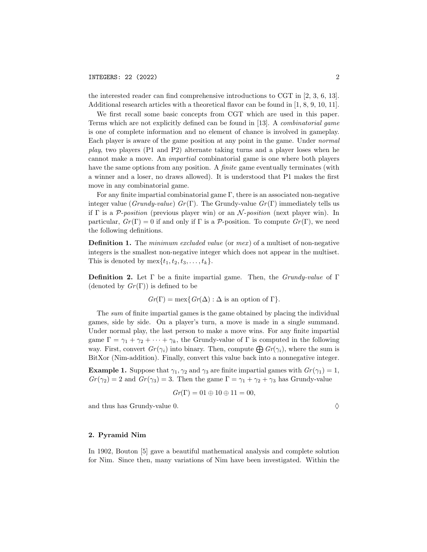the interested reader can find comprehensive introductions to CGT in [2, 3, 6, 13]. Additional research articles with a theoretical flavor can be found in [1, 8, 9, 10, 11].

We first recall some basic concepts from CGT which are used in this paper. Terms which are not explicitly defined can be found in [13]. A combinatorial game is one of complete information and no element of chance is involved in gameplay. Each player is aware of the game position at any point in the game. Under normal play, two players (P1 and P2) alternate taking turns and a player loses when he cannot make a move. An impartial combinatorial game is one where both players have the same options from any position. A *finite* game eventually terminates (with a winner and a loser, no draws allowed). It is understood that P1 makes the first move in any combinatorial game.

For any finite impartial combinatorial game Γ, there is an associated non-negative integer value (Grundy-value)  $Gr(\Gamma)$ . The Grundy-value  $Gr(\Gamma)$  immediately tells us if  $\Gamma$  is a P-position (previous player win) or an N-position (next player win). In particular,  $Gr(\Gamma) = 0$  if and only if  $\Gamma$  is a P-position. To compute  $Gr(\Gamma)$ , we need the following definitions.

**Definition 1.** The *minimum excluded value* (or  $mex$ ) of a multiset of non-negative integers is the smallest non-negative integer which does not appear in the multiset. This is denoted by  $\max\{t_1, t_2, t_3, \ldots, t_k\}.$ 

**Definition 2.** Let  $\Gamma$  be a finite impartial game. Then, the *Grundy-value* of  $\Gamma$ (denoted by  $Gr(\Gamma)$ ) is defined to be

$$
Gr(\Gamma) = \max\{Gr(\Delta) : \Delta \text{ is an option of } \Gamma\}.
$$

The sum of finite impartial games is the game obtained by placing the individual games, side by side. On a player's turn, a move is made in a single summand. Under normal play, the last person to make a move wins. For any finite impartial game  $\Gamma = \gamma_1 + \gamma_2 + \cdots + \gamma_k$ , the Grundy-value of  $\Gamma$  is computed in the following way. First, convert  $Gr(\gamma_i)$  into binary. Then, compute  $\bigoplus Gr(\gamma_i)$ , where the sum is BitXor (Nim-addition). Finally, convert this value back into a nonnegative integer.

**Example 1.** Suppose that  $\gamma_1, \gamma_2$  and  $\gamma_3$  are finite impartial games with  $Gr(\gamma_1) = 1$ ,  $Gr(\gamma_2) = 2$  and  $Gr(\gamma_3) = 3$ . Then the game  $\Gamma = \gamma_1 + \gamma_2 + \gamma_3$  has Grundy-value

$$
Gr(\Gamma) = 01 \oplus 10 \oplus 11 = 00,
$$

and thus has Grundy-value 0.  $\Diamond$ 

## 2. Pyramid Nim

In 1902, Bouton [5] gave a beautiful mathematical analysis and complete solution for Nim. Since then, many variations of Nim have been investigated. Within the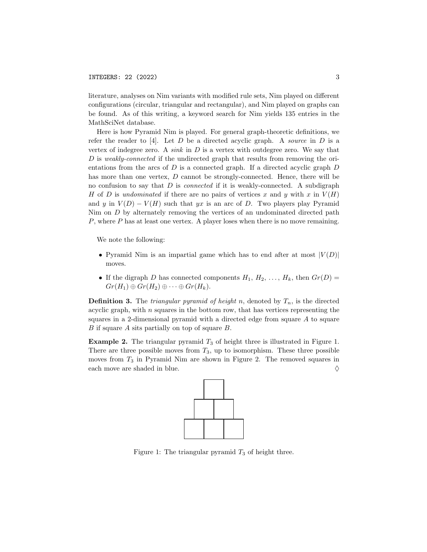literature, analyses on Nim variants with modified rule sets, Nim played on different configurations (circular, triangular and rectangular), and Nim played on graphs can be found. As of this writing, a keyword search for Nim yields 135 entries in the MathSciNet database.

Here is how Pyramid Nim is played. For general graph-theoretic definitions, we refer the reader to [4]. Let  $D$  be a directed acyclic graph. A source in  $D$  is a vertex of indegree zero. A sink in  $D$  is a vertex with outdegree zero. We say that D is weakly-connected if the undirected graph that results from removing the orientations from the arcs of  $D$  is a connected graph. If a directed acyclic graph  $D$ has more than one vertex, D cannot be strongly-connected. Hence, there will be no confusion to say that  $D$  is *connected* if it is weakly-connected. A subdigraph H of D is undominated if there are no pairs of vertices x and y with x in  $V(H)$ and y in  $V(D) - V(H)$  such that yx is an arc of D. Two players play Pyramid Nim on D by alternately removing the vertices of an undominated directed path P, where P has at least one vertex. A player loses when there is no move remaining.

We note the following:

- Pyramid Nim is an impartial game which has to end after at most  $|V(D)|$ moves.
- If the digraph D has connected components  $H_1, H_2, \ldots, H_k$ , then  $Gr(D)$  $Gr(H_1) \oplus Gr(H_2) \oplus \cdots \oplus Gr(H_k).$

**Definition 3.** The *triangular pyramid of height n*, denoted by  $T_n$ , is the directed acyclic graph, with  $n$  squares in the bottom row, that has vertices representing the squares in a 2-dimensional pyramid with a directed edge from square A to square B if square A sits partially on top of square B.

**Example 2.** The triangular pyramid  $T_3$  of height three is illustrated in Figure 1. There are three possible moves from  $T_3$ , up to isomorphism. These three possible moves from  $T_3$  in Pyramid Nim are shown in Figure 2. The removed squares in each move are shaded in blue.  $\Diamond$ 



Figure 1: The triangular pyramid  $T_3$  of height three.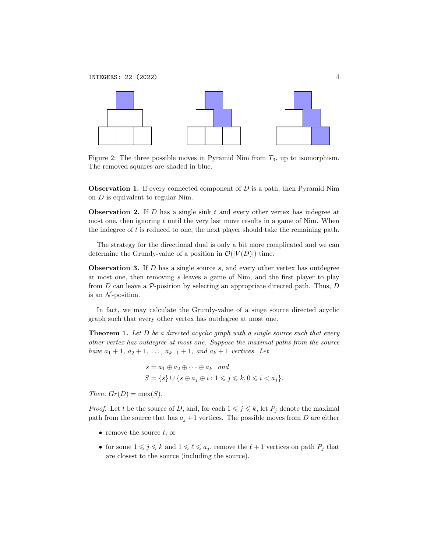

Figure 2: The three possible moves in Pyramid Nim from  $T_3$ , up to isomorphism. The removed squares are shaded in blue.

**Observation 1.** If every connected component of  $D$  is a path, then Pyramid Nim on D is equivalent to regular Nim.

**Observation 2.** If  $D$  has a single sink  $t$  and every other vertex has indegree at most one, then ignoring  $t$  until the very last move results in a game of Nim. When the indegree of  $t$  is reduced to one, the next player should take the remaining path.

The strategy for the directional dual is only a bit more complicated and we can determine the Grundy-value of a position in  $\mathcal{O}(|V(D)|)$  time.

**Observation 3.** If  $D$  has a single source  $s$ , and every other vertex has outdegree at most one, then removing s leaves a game of Nim, and the first player to play from  $D$  can leave a  $\mathcal{P}$ -position by selecting an appropriate directed path. Thus,  $D$ is an  $\mathcal N$ -position.

In fact, we may calculate the Grundy-value of a singe source directed acyclic graph such that every other vertex has outdegree at most one.

**Theorem 1.** Let  $D$  be a directed acyclic graph with a single source such that every other vertex has outdegree at most one. Suppose the maximal paths from the source have  $a_1 + 1$ ,  $a_2 + 1$ , ...,  $a_{k-1} + 1$ , and  $a_k + 1$  vertices. Let

$$
s = a_1 \oplus a_2 \oplus \cdots \oplus a_k \quad and
$$
  
\n
$$
S = \{s\} \cup \{s \oplus a_j \oplus i : 1 \leq j \leq k, 0 \leq i < a_j\}.
$$

Then,  $Gr(D) = \max(S)$ .

*Proof.* Let t be the source of D, and, for each  $1 \leq j \leq k$ , let  $P_j$  denote the maximal path from the source that has  $a_j + 1$  vertices. The possible moves from D are either

- remove the source  $t$ , or
- for some  $1 \leqslant j \leqslant k$  and  $1 \leqslant \ell \leqslant a_j$ , remove the  $\ell + 1$  vertices on path  $P_j$  that are closest to the source (including the source).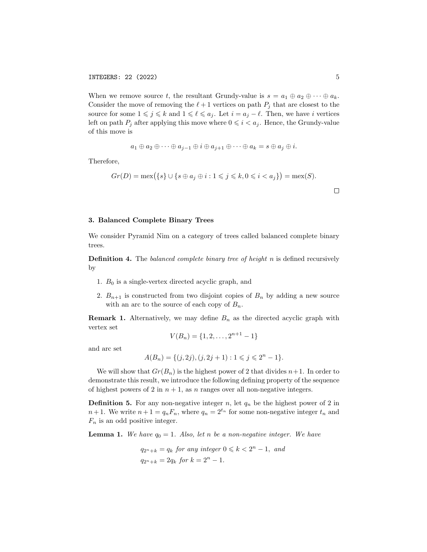When we remove source t, the resultant Grundy-value is  $s = a_1 \oplus a_2 \oplus \cdots \oplus a_k$ . Consider the move of removing the  $\ell + 1$  vertices on path  $P_j$  that are closest to the source for some  $1 \leq j \leq k$  and  $1 \leq \ell \leq a_j$ . Let  $i = a_j - \ell$ . Then, we have i vertices left on path  $P_i$  after applying this move where  $0 \leq i \leq a_j$ . Hence, the Grundy-value of this move is

$$
a_1 \oplus a_2 \oplus \cdots \oplus a_{j-1} \oplus i \oplus a_{j+1} \oplus \cdots \oplus a_k = s \oplus a_j \oplus i.
$$

Therefore,

$$
Gr(D) = \max(\{s\} \cup \{s \oplus a_j \oplus i : 1 \leq j \leq k, 0 \leq i < a_j\}) = \max(S).
$$

## 3. Balanced Complete Binary Trees

We consider Pyramid Nim on a category of trees called balanced complete binary trees.

**Definition 4.** The *balanced complete binary tree of height*  $n$  is defined recursively by

- 1.  $B_0$  is a single-vertex directed acyclic graph, and
- 2.  $B_{n+1}$  is constructed from two disjoint copies of  $B_n$  by adding a new source with an arc to the source of each copy of  $B_n$ .

**Remark 1.** Alternatively, we may define  $B_n$  as the directed acyclic graph with vertex set

$$
V(B_n) = \{1, 2, \dots, 2^{n+1} - 1\}
$$

and arc set

$$
A(B_n) = \{ (j, 2j), (j, 2j + 1) : 1 \leq j \leq 2^n - 1 \}.
$$

We will show that  $Gr(B_n)$  is the highest power of 2 that divides  $n+1$ . In order to demonstrate this result, we introduce the following defining property of the sequence of highest powers of 2 in  $n + 1$ , as n ranges over all non-negative integers.

**Definition 5.** For any non-negative integer n, let  $q_n$  be the highest power of 2 in  $n+1$ . We write  $n+1 = q_n F_n$ , where  $q_n = 2^{t_n}$  for some non-negative integer  $t_n$  and  $F_n$  is an odd positive integer.

**Lemma 1.** We have  $q_0 = 1$ . Also, let n be a non-negative integer. We have

$$
q_{2^n+k} = q_k \text{ for any integer } 0 \le k < 2^n - 1, \text{ and}
$$
\n
$$
q_{2^n+k} = 2q_k \text{ for } k = 2^n - 1.
$$

 $\Box$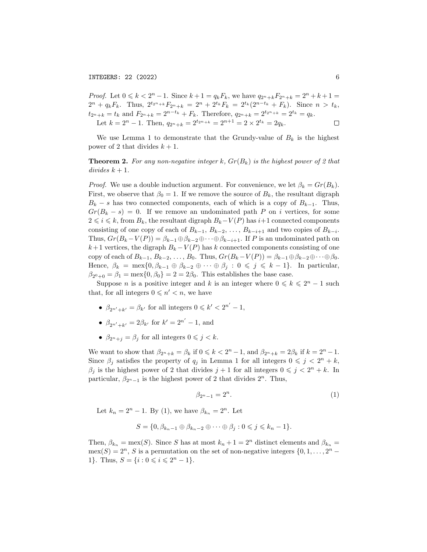*Proof.* Let  $0 \le k < 2<sup>n</sup> - 1$ . Since  $k + 1 = q_k F_k$ , we have  $q_{2<sup>n</sup>+k} F_{2<sup>n</sup>+k} = 2<sup>n</sup> + k + 1 =$  $2^{n} + q_{k}F_{k}$ . Thus,  $2^{t_{2}+k}F_{2^{n}+k} = 2^{n} + 2^{t_{k}}F_{k} = 2^{t_{k}}(2^{n-t_{k}} + F_{k})$ . Since  $n > t_{k}$ ,  $t_{2^{n}+k} = t_{k}$  and  $F_{2^{n}+k} = 2^{n-t_{k}} + F_{k}$ . Therefore,  $q_{2^{n}+k} = 2^{t_{2^{n}+k}} = 2^{t_{k}} = q_{k}$ . Let  $k = 2^n - 1$ . Then,  $q_{2^n+k} = 2^{t_{2^n+k}} = 2^{n+1} = 2 \times 2^{t_k} = 2q_k$ .  $\Box$ 

We use Lemma 1 to demonstrate that the Grundy-value of  $B_k$  is the highest power of 2 that divides  $k + 1$ .

**Theorem 2.** For any non-negative integer k,  $Gr(B_k)$  is the highest power of 2 that divides  $k + 1$ .

*Proof.* We use a double induction argument. For convenience, we let  $\beta_k = Gr(B_k)$ . First, we observe that  $\beta_0 = 1$ . If we remove the source of  $B_k$ , the resultant digraph  $B_k - s$  has two connected components, each of which is a copy of  $B_{k-1}$ . Thus,  $Gr(B_k - s) = 0$ . If we remove an undominated path P on i vertices, for some  $2 \leq i \leq k$ , from  $B_k$ , the resultant digraph  $B_k-V(P)$  has  $i+1$  connected components consisting of one copy of each of  $B_{k-1}, B_{k-2}, \ldots, B_{k-i+1}$  and two copies of  $B_{k-i}$ . Thus,  $Gr(B_k - V(P)) = \beta_{k-1} \oplus \beta_{k-2} \oplus \cdots \oplus \beta_{k-i+1}$ . If P is an undominated path on  $k+1$  vertices, the digraph  $B_k - V(P)$  has k connected components consisting of one copy of each of  $B_{k-1}, B_{k-2}, \ldots, B_0$ . Thus,  $Gr(B_k-V(P)) = \beta_{k-1} \oplus \beta_{k-2} \oplus \cdots \oplus \beta_0$ . Hence,  $\beta_k = \max\{0, \beta_{k-1} \oplus \beta_{k-2} \oplus \cdots \oplus \beta_j : 0 \leq j \leq k-1\}$ . In particular,  $\beta_{2^0+0} = \beta_1 = \max\{0, \beta_0\} = 2 = 2\beta_0$ . This establishes the base case.

Suppose *n* is a positive integer and k is an integer where  $0 \le k \le 2<sup>n</sup> - 1$  such that, for all integers  $0 \leq n' < n$ , we have

- $\beta_{2n'+k'} = \beta_{k'}$  for all integers  $0 \leq k' < 2^{n'} 1$ ,
- $\beta_{2^{n'}+k'} = 2\beta_{k'}$  for  $k' = 2^{n'} 1$ , and
- $\beta_{2^n+j} = \beta_j$  for all integers  $0 \leq j \leq k$ .

We want to show that  $\beta_{2^n+k} = \beta_k$  if  $0 \leq k < 2^n - 1$ , and  $\beta_{2^n+k} = 2\beta_k$  if  $k = 2^n - 1$ . Since  $\beta_j$  satisfies the property of  $q_j$  in Lemma 1 for all integers  $0 \leq j \leq 2^n + k$ ,  $\beta_j$  is the highest power of 2 that divides  $j+1$  for all integers  $0 \leq j < 2^n + k$ . In particular,  $\beta_{2^{n}-1}$  is the highest power of 2 that divides  $2^{n}$ . Thus,

$$
\beta_{2^n-1} = 2^n. \tag{1}
$$

Let  $k_n = 2^n - 1$ . By (1), we have  $\beta_{k_n} = 2^n$ . Let

$$
S = \{0, \beta_{k_n-1} \oplus \beta_{k_n-2} \oplus \cdots \oplus \beta_j : 0 \leqslant j \leqslant k_n - 1\}.
$$

Then,  $\beta_{k_n} = \max(S)$ . Since S has at most  $k_n + 1 = 2^n$  distinct elements and  $\beta_{k_n} =$  $\text{mex}(S) = 2^n, S$  is a permutation on the set of non-negative integers  $\{0, 1, \ldots, 2^n -$ 1}. Thus,  $S = \{i : 0 \le i \le 2^n - 1\}.$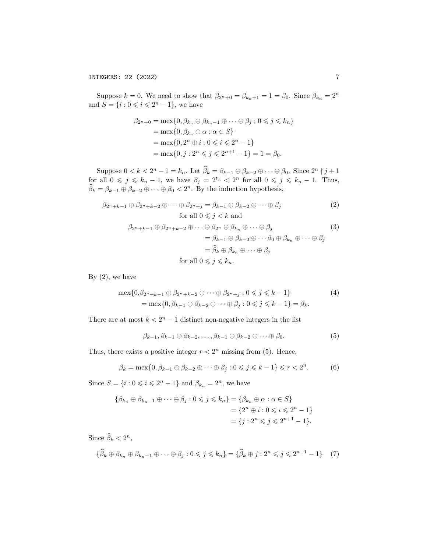Suppose  $k = 0$ . We need to show that  $\beta_{2^n+0} = \beta_{k_n+1} = 1 = \beta_0$ . Since  $\beta_{k_n} = 2^n$ and  $S = \{i : 0 \leq i \leq 2^{n} - 1\}$ , we have

$$
\beta_{2^n+0} = \max\{0, \beta_{k_n} \oplus \beta_{k_n-1} \oplus \cdots \oplus \beta_j : 0 \le j \le k_n\}
$$
  
= 
$$
\max\{0, \beta_{k_n} \oplus \alpha : \alpha \in S\}
$$
  
= 
$$
\max\{0, 2^n \oplus i : 0 \le i \le 2^n - 1\}
$$
  
= 
$$
\max\{0, j : 2^n \le j \le 2^{n+1} - 1\} = 1 = \beta_0.
$$

Suppose  $0 < k < 2^n - 1 = k_n$ . Let  $\widehat{\beta}_k = \beta_{k-1} \oplus \beta_{k-2} \oplus \cdots \oplus \beta_0$ . Since  $2^n \nmid j+1$ for all  $0 \leq j \leq k_n - 1$ , we have  $\beta_j = 2^{t_j} < 2^n$  for all  $0 \leq j \leq k_n - 1$ . Thus,  $\widehat{\beta}_k = \beta_{k-1} \oplus \beta_{k-2} \oplus \cdots \oplus \beta_0 < 2^n$ . By the induction hypothesis,

$$
\beta_{2^{n}+k-1} \oplus \beta_{2^{n}+k-2} \oplus \cdots \oplus \beta_{2^{n}+j} = \beta_{k-1} \oplus \beta_{k-2} \oplus \cdots \oplus \beta_{j}
$$
\nfor all  $0 \le j < k$  and\n
$$
(2)
$$

$$
\beta_{2^{n}+k-1} \oplus \beta_{2^{n}+k-2} \oplus \cdots \oplus \beta_{2^{n}} \oplus \beta_{k_{n}} \oplus \cdots \oplus \beta_{j} \n= \beta_{k-1} \oplus \beta_{k-2} \oplus \cdots \beta_{0} \oplus \beta_{k_{n}} \oplus \cdots \oplus \beta_{j} \n= \widehat{\beta}_{k} \oplus \beta_{k_{n}} \oplus \cdots \oplus \beta_{j} \n\text{for all } 0 \le j \le k_{n}.
$$
\n(3)

By  $(2)$ , we have

$$
\max\{0, \beta_{2^n+k-1} \oplus \beta_{2^n+k-2} \oplus \cdots \oplus \beta_{2^n+j} : 0 \le j \le k-1\}
$$
\n
$$
= \max\{0, \beta_{k-1} \oplus \beta_{k-2} \oplus \cdots \oplus \beta_j : 0 \le j \le k-1\} = \beta_k.
$$
\n(4)

There are at most  $k < 2<sup>n</sup> - 1$  distinct non-negative integers in the list

$$
\beta_{k-1}, \beta_{k-1} \oplus \beta_{k-2}, \dots, \beta_{k-1} \oplus \beta_{k-2} \oplus \dots \oplus \beta_0.
$$
 (5)

Thus, there exists a positive integer  $r < 2<sup>n</sup>$  missing from (5). Hence,

$$
\beta_k = \max\{0, \beta_{k-1} \oplus \beta_{k-2} \oplus \cdots \oplus \beta_j : 0 \leq j \leq k-1\} \leq r < 2^n. \tag{6}
$$

Since  $S = \{i : 0 \leq i \leq 2^n - 1\}$  and  $\beta_{k_n} = 2^n$ , we have

$$
\{\beta_{k_n} \oplus \beta_{k_n-1} \oplus \cdots \oplus \beta_j : 0 \le j \le k_n\} = \{\beta_{k_n} \oplus \alpha : \alpha \in S\}
$$
  
=  $\{2^n \oplus i : 0 \le i \le 2^n - 1\}$   
=  $\{j : 2^n \le j \le 2^{n+1} - 1\}.$ 

Since  $\widehat{\beta}_k < 2^n$ ,

$$
\{\widehat{\beta}_k \oplus \beta_{k_n} \oplus \beta_{k_n-1} \oplus \cdots \oplus \beta_j : 0 \leq j \leq k_n\} = \{\widehat{\beta}_k \oplus j : 2^n \leq j \leq 2^{n+1} - 1\} \tag{7}
$$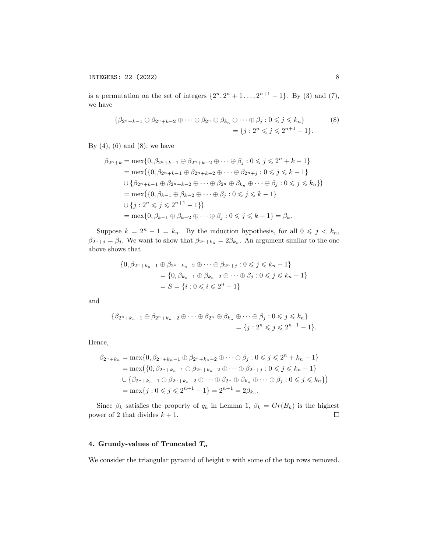is a permutation on the set of integers  $\{2^n, 2^n + 1, \ldots, 2^{n+1} - 1\}$ . By (3) and (7), we have

$$
\{\beta_{2^n+k-1} \oplus \beta_{2^n+k-2} \oplus \cdots \oplus \beta_{2^n} \oplus \beta_{k_n} \oplus \cdots \oplus \beta_j : 0 \le j \le k_n\} \tag{8}
$$
  
=  $\{j : 2^n \le j \le 2^{n+1} - 1\}.$ 

By  $(4)$ ,  $(6)$  and  $(8)$ , we have

$$
\beta_{2^n+k} = \max\{0, \beta_{2^n+k-1} \oplus \beta_{2^n+k-2} \oplus \cdots \oplus \beta_j : 0 \leq j \leq 2^n + k - 1\}
$$
  
\n
$$
= \max\{\{0, \beta_{2^n+k-1} \oplus \beta_{2^n+k-2} \oplus \cdots \oplus \beta_{2^n+j} : 0 \leq j \leq k - 1\}
$$
  
\n
$$
\cup \{\beta_{2^n+k-1} \oplus \beta_{2^n+k-2} \oplus \cdots \oplus \beta_{2^n} \oplus \beta_{k_n} \oplus \cdots \oplus \beta_j : 0 \leq j \leq k_n\}\}
$$
  
\n
$$
= \max\{\{0, \beta_{k-1} \oplus \beta_{k-2} \oplus \cdots \oplus \beta_j : 0 \leq j \leq k - 1\}
$$
  
\n
$$
\cup \{j : 2^n \leq j \leq 2^{n+1} - 1\}\}
$$
  
\n
$$
= \max\{0, \beta_{k-1} \oplus \beta_{k-2} \oplus \cdots \oplus \beta_j : 0 \leq j \leq k - 1\} = \beta_k.
$$

Suppose  $k = 2<sup>n</sup> - 1 = k<sub>n</sub>$ . By the induction hypothesis, for all  $0 \leqslant j \leq k_n$ ,  $\beta_{2^{n}+j} = \beta_{j}$ . We want to show that  $\beta_{2^{n}+k_{n}} = 2\beta_{k_{n}}$ . An argument similar to the one above shows that

$$
\{0, \beta_{2^n+k_n-1} \oplus \beta_{2^n+k_n-2} \oplus \cdots \oplus \beta_{2^n+j} : 0 \le j \le k_n - 1\}
$$
  
= 
$$
\{0, \beta_{k_n-1} \oplus \beta_{k_n-2} \oplus \cdots \oplus \beta_j : 0 \le j \le k_n - 1\}
$$
  
= 
$$
S = \{i : 0 \le i \le 2^n - 1\}
$$

and

$$
\{\beta_{2^n+k_n-1}\oplus\beta_{2^n+k_n-2}\oplus\cdots\oplus\beta_{2^n}\oplus\beta_{k_n}\oplus\cdots\oplus\beta_j:0\leqslant j\leqslant k_n\}
$$
  
= 
$$
\{j:2^n\leqslant j\leqslant 2^{n+1}-1\}.
$$

Hence,

$$
\beta_{2^{n}+k_{n}} = \max\{0, \beta_{2^{n}+k_{n}-1} \oplus \beta_{2^{n}+k_{n}-2} \oplus \cdots \oplus \beta_{j} : 0 \leqslant j \leqslant 2^{n}+k_{n}-1\}
$$
  
\n
$$
= \max\{\{0, \beta_{2^{n}+k_{n}-1} \oplus \beta_{2^{n}+k_{n}-2} \oplus \cdots \oplus \beta_{2^{n}+j} : 0 \leqslant j \leqslant k_{n}-1\}
$$
  
\n
$$
\cup \{\beta_{2^{n}+k_{n}-1} \oplus \beta_{2^{n}+k_{n}-2} \oplus \cdots \oplus \beta_{2^{n}} \oplus \beta_{k_{n}} \oplus \cdots \oplus \beta_{j} : 0 \leqslant j \leqslant k_{n}\}\}
$$
  
\n
$$
= \max\{j : 0 \leqslant j \leqslant 2^{n+1}-1\} = 2^{n+1} = 2\beta_{k_{n}}.
$$

Since  $\beta_k$  satisfies the property of  $q_k$  in Lemma 1,  $\beta_k = Gr(B_k)$  is the highest power of 2 that divides  $k + 1$ .  $\Box$ 

# 4. Grundy-values of Truncated  $T_n$

We consider the triangular pyramid of height  $n$  with some of the top rows removed.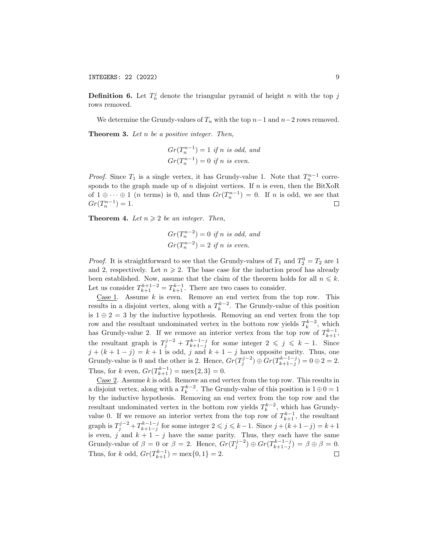INTEGERS: 22 (2022) 9

**Definition 6.** Let  $T_n^j$  denote the triangular pyramid of height n with the top j rows removed.

We determine the Grundy-values of  $T_n$  with the top  $n-1$  and  $n-2$  rows removed. **Theorem 3.** Let  $n$  be a positive integer. Then,

$$
Gr(T_n^{n-1}) = 1
$$
 if n is odd, and  

$$
Gr(T_n^{n-1}) = 0
$$
 if n is even.

*Proof.* Since  $T_1$  is a single vertex, it has Grundy-value 1. Note that  $T_n^{n-1}$  corresponds to the graph made up of  $n$  disjoint vertices. If  $n$  is even, then the BitXoR of  $1 \oplus \cdots \oplus 1$  (*n* terms) is 0, and thus  $Gr(T_n^{n-1}) = 0$ . If *n* is odd, we see that  $Gr(T_n^{n-1}) = 1.$  $\Box$ 

**Theorem 4.** Let  $n \geq 2$  be an integer. Then,

$$
Gr(T_n^{n-2}) = 0
$$
 if n is odd, and  

$$
Gr(T_n^{n-2}) = 2
$$
 if n is even.

*Proof.* It is straightforward to see that the Grundy-values of  $T_1$  and  $T_2^0 = T_2$  are 1 and 2, respectively. Let  $n \geq 2$ . The base case for the induction proof has already been established. Now, assume that the claim of the theorem holds for all  $n \leq k$ . Let us consider  $T_{k+1}^{k+1-2} = T_{k+1}^{k-1}$ . There are two cases to consider.

Case 1. Assume  $k$  is even. Remove an end vertex from the top row. This results in a disjoint vertex, along with a  $T_k^{k-2}$ . The Grundy-value of this position is  $1 \oplus 2 = 3$  by the inductive hypothesis. Removing an end vertex from the top row and the resultant undominated vertex in the bottom row yields  $T_k^{k-2}$ , which has Grundy-value 2. If we remove an interior vertex from the top row of  $T_{k+1}^{k-1}$ , the resultant graph is  $T_j^{j-2} + T_{k+1-j}^{k-1-j}$  for some integer  $2 \leqslant j \leqslant k-1$ . Since  $j + (k + 1 - j) = k + 1$  is odd, j and  $k + 1 - j$  have opposite parity. Thus, one Grundy-value is 0 and the other is 2. Hence,  $Gr(T_j^{j-2}) \oplus Gr(T_{k+1-j}^{k-1-j}) = 0 \oplus 2 = 2$ . Thus, for k even,  $Gr(T_{k+1}^{k-1}) = \max\{2, 3\} = 0$ .

Case  $2$ . Assume k is odd. Remove an end vertex from the top row. This results in a disjoint vertex, along with a  $T_k^{k-2}$ . The Grundy-value of this position is  $1 \oplus 0 = 1$ by the inductive hypothesis. Removing an end vertex from the top row and the resultant undominated vertex in the bottom row yields  $T_k^{k-2}$ , which has Grundyvalue 0. If we remove an interior vertex from the top row of  $T_{k+1}^{k-1}$ , the resultant graph is  $T_j^{j-2} + T_{k+1-j}^{k-1-j}$  for some integer  $2 \leq j \leq k-1$ . Since  $j + (k+1-j) = k+1$ is even, j and  $k + 1 - j$  have the same parity. Thus, they each have the same Grundy-value of  $\beta = 0$  or  $\beta = 2$ . Hence,  $Gr(T_j^{j-2}) \oplus Gr(T_{k+1-j}^{k-1-j}) = \beta \oplus \beta = 0$ . Thus, for k odd,  $Gr(T_{k+1}^{k-1}) = \max\{0, 1\} = 2$ .  $\Box$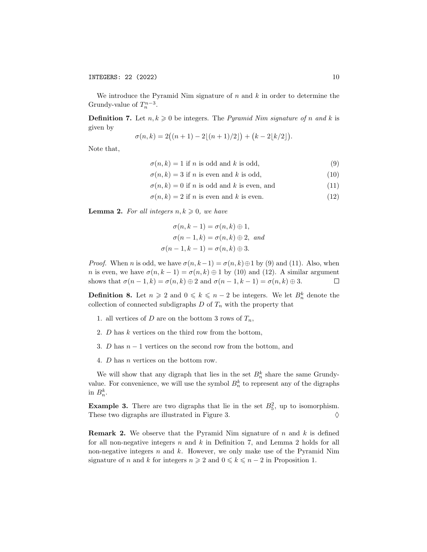We introduce the Pyramid Nim signature of  $n$  and  $k$  in order to determine the Grundy-value of  $T_n^{n-3}$ .

**Definition 7.** Let  $n, k \geq 0$  be integers. The *Pyramid Nim signature of n and k* is given by

$$
\sigma(n,k) = 2((n+1) - 2\lfloor (n+1)/2 \rfloor) + (k - 2\lfloor k/2 \rfloor).
$$

Note that,

$$
\sigma(n,k) = 1 \text{ if } n \text{ is odd and } k \text{ is odd},\tag{9}
$$

 $\sigma(n, k) = 3$  if *n* is even and *k* is odd, (10)

$$
\sigma(n,k) = 0 \text{ if } n \text{ is odd and } k \text{ is even, and} \tag{11}
$$

 $\sigma(n, k) = 2$  if *n* is even and *k* is even. (12)

**Lemma 2.** For all integers  $n, k \geq 0$ , we have

$$
\sigma(n, k-1) = \sigma(n, k) \oplus 1,
$$
  
\n
$$
\sigma(n-1, k) = \sigma(n, k) \oplus 2, \text{ and}
$$
  
\n
$$
\sigma(n-1, k-1) = \sigma(n, k) \oplus 3.
$$

*Proof.* When n is odd, we have  $\sigma(n, k-1) = \sigma(n, k) \oplus 1$  by (9) and (11). Also, when n is even, we have  $\sigma(n, k-1) = \sigma(n, k) \oplus 1$  by (10) and (12). A similar argument shows that  $\sigma(n-1,k) = \sigma(n,k) \oplus 2$  and  $\sigma(n-1,k-1) = \sigma(n,k) \oplus 3$ .  $\Box$ 

**Definition 8.** Let  $n \geq 2$  and  $0 \leq k \leq n-2$  be integers. We let  $B_n^k$  denote the collection of connected subdigraphs  ${\cal D}$  of  $T_n$  with the property that

- 1. all vertices of D are on the bottom 3 rows of  $T_n$ ,
- 2.  $D$  has  $k$  vertices on the third row from the bottom,
- 3. D has  $n-1$  vertices on the second row from the bottom, and
- 4. D has n vertices on the bottom row.

We will show that any digraph that lies in the set  $B_n^k$  share the same Grundyvalue. For convenience, we will use the symbol  $B_n^k$  to represent any of the digraphs in  $B_n^k$ .

**Example 3.** There are two digraphs that lie in the set  $B_5^2$ , up to isomorphism. These two digraphs are illustrated in Figure 3.  $\Diamond$ 

**Remark 2.** We observe that the Pyramid Nim signature of  $n$  and  $k$  is defined for all non-negative integers  $n$  and  $k$  in Definition 7, and Lemma 2 holds for all non-negative integers  $n$  and  $k$ . However, we only make use of the Pyramid Nim signature of n and k for integers  $n \geq 2$  and  $0 \leq k \leq n-2$  in Proposition 1.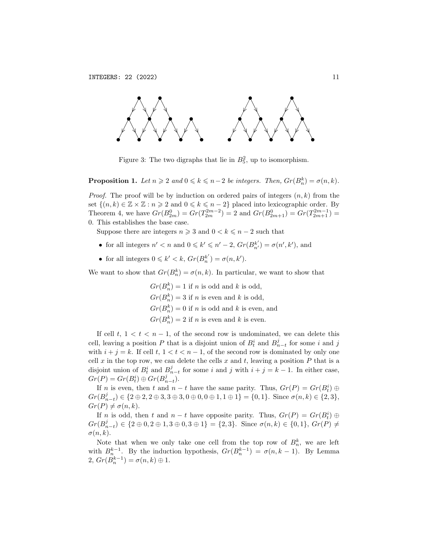

Figure 3: The two digraphs that lie in  $B_5^2$ , up to isomorphism.

**Proposition 1.** Let  $n \geq 2$  and  $0 \leq k \leq n-2$  be integers. Then,  $Gr(B_n^k) = \sigma(n, k)$ .

*Proof.* The proof will be by induction on ordered pairs of integers  $(n, k)$  from the set  $\{(n,k)\in\mathbb{Z}\times\mathbb{Z}:n\geqslant 2\text{ and }0\leqslant k\leqslant n-2\}$  placed into lexicographic order. By Theorem 4, we have  $Gr(B_{2m}^0) = Gr(T_{2m}^{2m-2}) = 2$  and  $Gr(B_{2m+1}^0) = Gr(T_{2m+1}^{2m-1}) =$ 0. This establishes the base case.

Suppose there are integers  $n \geqslant 3$  and  $0 < k \leqslant n-2$  such that

- for all integers  $n' < n$  and  $0 \le k' \le n' 2$ ,  $Gr(B_{n'}^{k'}) = \sigma(n', k')$ , and
- for all integers  $0 \leq k' < k$ ,  $Gr(B_n^{k'}) = \sigma(n, k')$ .

We want to show that  $Gr(B_n^k) = \sigma(n, k)$ . In particular, we want to show that

 $Gr(B_n^k) = 1$  if n is odd and k is odd,  $Gr(B_n^k) = 3$  if *n* is even and *k* is odd,  $Gr(B_n^k) = 0$  if n is odd and k is even, and  $Gr(B_n^k) = 2$  if *n* is even and *k* is even.

If cell t,  $1 < t < n - 1$ , of the second row is undominated, we can delete this cell, leaving a position P that is a disjoint union of  $B_t^i$  and  $B_{n-t}^j$  for some i and j with  $i + j = k$ . If cell  $t, 1 < t < n - 1$ , of the second row is dominated by only one cell x in the top row, we can delete the cells x and t, leaving a position  $P$  that is a disjoint union of  $B_t^i$  and  $B_{n-t}^j$  for some i and j with  $i + j = k - 1$ . In either case,  $Gr(P) = Gr(B_t^i) \oplus Gr(B_{n-t}^j).$ 

If n is even, then t and  $n-t$  have the same parity. Thus,  $Gr(P) = Gr(B_t^i) \oplus$  $Gr(B_{n-t}^j) \in \{2 \oplus 2, 2 \oplus 3, 3 \oplus 3, 0 \oplus 0, 0 \oplus 1, 1 \oplus 1\} = \{0, 1\}.$  Since  $\sigma(n, k) \in \{2, 3\},$  $Gr(P) \neq \sigma(n, k).$ 

If n is odd, then t and  $n-t$  have opposite parity. Thus,  $Gr(P) = Gr(B_t^i) \oplus$  $Gr(B_{n-t}^j) \in \{2 \oplus 0, 2 \oplus 1, 3 \oplus 0, 3 \oplus 1\} = \{2, 3\}.$  Since  $\sigma(n, k) \in \{0, 1\},$   $Gr(P) \neq$  $\sigma(n,k)$ .

Note that when we only take one cell from the top row of  $B_n^k$ , we are left with  $B_n^{k-1}$ . By the induction hypothesis,  $Gr(B_n^{k-1}) = \sigma(n, k-1)$ . By Lemma 2,  $Gr(B_n^{k-1}) = \sigma(n,k) \oplus 1.$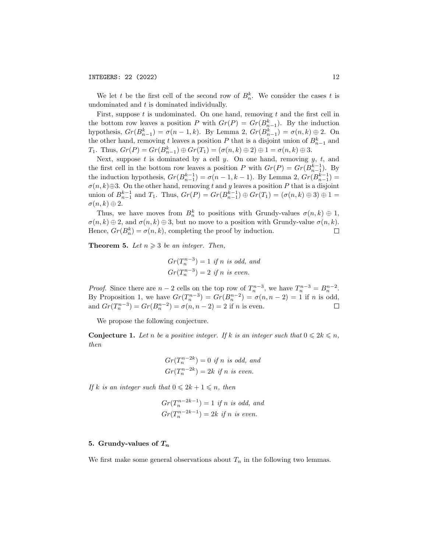We let t be the first cell of the second row of  $B_n^k$ . We consider the cases t is undominated and  $t$  is dominated individually.

First, suppose  $t$  is undominated. On one hand, removing  $t$  and the first cell in the bottom row leaves a position P with  $Gr(P) = Gr(B_{n-1}^k)$ . By the induction hypothesis,  $Gr(B_{n-1}^k) = \sigma(n-1,k)$ . By Lemma 2,  $Gr(B_{n-1}^k) = \sigma(n,k) \oplus 2$ . On the other hand, removing t leaves a position P that is a disjoint union of  $B_{n-1}^k$  and T<sub>1</sub>. Thus,  $Gr(P) = Gr(B_{n-1}^k) \oplus Gr(T_1) = (\sigma(n,k) \oplus 2) \oplus 1 = \sigma(n,k) \oplus 3$ .

Next, suppose  $t$  is dominated by a cell  $y$ . On one hand, removing  $y$ ,  $t$ , and the first cell in the bottom row leaves a position P with  $Gr(P) = Gr(B_{n-1}^{k-1})$ . By the induction hypothesis,  $Gr(B_{n-1}^{k-1}) = \sigma(n-1, k-1)$ . By Lemma 2,  $Gr(B_{n-1}^{k-1}) =$  $\sigma(n,k)\oplus 3$ . On the other hand, removing t and y leaves a position P that is a disjoint union of  $B_{n-1}^{k-1}$  and  $T_1$ . Thus,  $Gr(P) = Gr(B_{n-1}^{k-1}) \oplus Gr(T_1) = (\sigma(n,k) \oplus 3) \oplus 1 =$  $\sigma(n,k)\oplus 2.$ 

Thus, we have moves from  $B_n^k$  to positions with Grundy-values  $\sigma(n,k) \oplus 1$ ,  $\sigma(n,k) \oplus 2$ , and  $\sigma(n,k) \oplus 3$ , but no move to a position with Grundy-value  $\sigma(n,k)$ . Hence,  $Gr(B_n^k) = \sigma(n, k)$ , completing the proof by induction.  $\Box$ 

**Theorem 5.** Let  $n \geq 3$  be an integer. Then,

$$
Gr(T_n^{n-3}) = 1
$$
 if n is odd, and  

$$
Gr(T_n^{n-3}) = 2
$$
 if n is even.

*Proof.* Since there are  $n-2$  cells on the top row of  $T_n^{n-3}$ , we have  $T_n^{n-3} = B_n^{n-2}$ . By Proposition 1, we have  $Gr(T_n^{n-3}) = Gr(B_n^{n-2}) = \sigma(n, n-2) = 1$  if n is odd, and  $Gr(T_n^{n-3}) = Gr(B_n^{n-2}) = \sigma(n, n-2) = 2$  if *n* is even.

We propose the following conjecture.

**Conjecture 1.** Let n be a positive integer. If k is an integer such that  $0 \leq 2k \leq n$ , then

$$
Gr(T_n^{n-2k}) = 0
$$
 if n is odd, and  

$$
Gr(T_n^{n-2k}) = 2k
$$
 if n is even.

If k is an integer such that  $0 \leq 2k + 1 \leq n$ , then

$$
Gr(T_n^{n-2k-1}) = 1
$$
 if n is odd, and  

$$
Gr(T_n^{n-2k-1}) = 2k
$$
 if n is even.

## 5. Grundy-values of  $T_n$

We first make some general observations about  $T_n$  in the following two lemmas.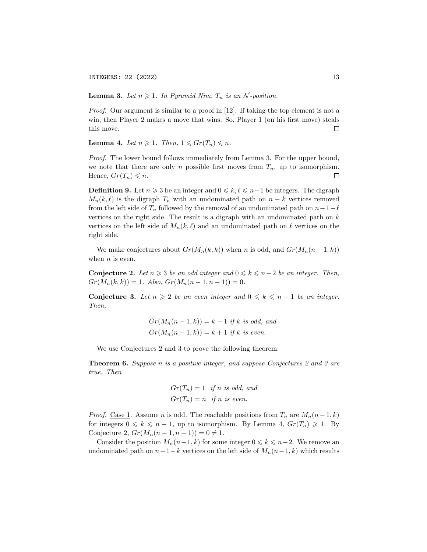INTEGERS: 22 (2022) 13

**Lemma 3.** Let  $n \geq 1$ . In Pyramid Nim,  $T_n$  is an N-position.

Proof. Our argument is similar to a proof in [12]. If taking the top element is not a win, then Player 2 makes a move that wins. So, Player 1 (on his first move) steals this move.  $\Box$ 

**Lemma 4.** Let  $n \geq 1$ . Then,  $1 \leq Gr(T_n) \leq n$ .

Proof. The lower bound follows immediately from Lemma 3. For the upper bound, we note that there are only n possible first moves from  $T_n$ , up to isomorphism. Hence,  $Gr(T_n) \leq n$ .  $\Box$ 

**Definition 9.** Let  $n \geq 3$  be an integer and  $0 \leq k, \ell \leq n-1$  be integers. The digraph  $M_n(k, \ell)$  is the digraph  $T_n$  with an undominated path on  $n - k$  vertices removed from the left side of  $T_n$  followed by the removal of an undominated path on  $n-1-\ell$ vertices on the right side. The result is a digraph with an undominated path on  $k$ vertices on the left side of  $M_n(k, \ell)$  and an undominated path on  $\ell$  vertices on the right side.

We make conjectures about  $Gr(M_n(k, k))$  when n is odd, and  $Gr(M_n(n-1, k))$ when  $n$  is even.

Conjecture 2. Let  $n \geq 3$  be an odd integer and  $0 \leq k \leq n-2$  be an integer. Then,  $Gr(M_n(k, k)) = 1.$  Also,  $Gr(M_n(n-1, n-1)) = 0.$ 

Conjecture 3. Let  $n \geq 2$  be an even integer and  $0 \leq k \leq n-1$  be an integer. Then,

$$
Gr(M_n(n-1,k)) = k-1
$$
 if k is odd, and  

$$
Gr(M_n(n-1,k)) = k+1
$$
 if k is even.

We use Conjectures 2 and 3 to prove the following theorem.

**Theorem 6.** Suppose n is a positive integer, and suppose Conjectures 2 and 3 are true. Then

$$
Gr(T_n) = 1 \tif n is odd, and
$$
  

$$
Gr(T_n) = n \tif n is even.
$$

*Proof.* Case 1. Assume *n* is odd. The reachable positions from  $T_n$  are  $M_n(n-1,k)$ for integers  $0 \leq k \leq n-1$ , up to isomorphism. By Lemma 4,  $Gr(T_n) \geq 1$ . By Conjecture 2,  $Gr(M_n(n-1, n-1)) = 0 \neq 1$ .

Consider the position  $M_n(n-1, k)$  for some integer  $0 \leq k \leq n-2$ . We remove an undominated path on  $n-1-k$  vertices on the left side of  $M_n(n-1, k)$  which results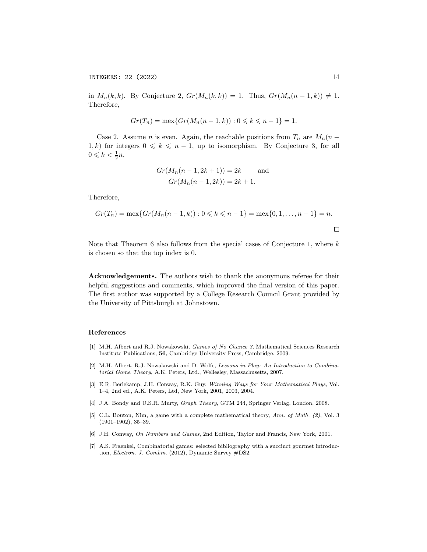in  $M_n(k, k)$ . By Conjecture 2,  $Gr(M_n(k, k)) = 1$ . Thus,  $Gr(M_n(n-1, k)) \neq 1$ . Therefore,

$$
Gr(T_n) = \max\{Gr(M_n(n-1,k)) : 0 \le k \le n-1\} = 1.
$$

<u>Case 2</u>. Assume *n* is even. Again, the reachable positions from  $T_n$  are  $M_n(n -$ 1, k) for integers  $0 \le k \le n - 1$ , up to isomorphism. By Conjecture 3, for all  $0 \leqslant k < \frac{1}{2}n$ ,

$$
Gr(M_n(n-1, 2k+1)) = 2k
$$
 and  

$$
Gr(M_n(n-1, 2k)) = 2k + 1.
$$

Therefore,

$$
Gr(T_n) = \max\{Gr(M_n(n-1,k)) : 0 \le k \le n-1\} = \max\{0, 1, \dots, n-1\} = n.
$$

Note that Theorem 6 also follows from the special cases of Conjecture 1, where  $k$ is chosen so that the top index is 0.

Acknowledgements. The authors wish to thank the anonymous referee for their helpful suggestions and comments, which improved the final version of this paper. The first author was supported by a College Research Council Grant provided by the University of Pittsburgh at Johnstown.

#### References

- [1] M.H. Albert and R.J. Nowakowski, Games of No Chance 3, Mathematical Sciences Research Institute Publications, 56, Cambridge University Press, Cambridge, 2009.
- [2] M.H. Albert, R.J. Nowakowski and D. Wolfe, Lessons in Play: An Introduction to Combinatorial Game Theory, A.K. Peters, Ltd., Wellesley, Massachusetts, 2007.
- [3] E.R. Berlekamp, J.H. Conway, R.K. Guy, Winning Ways for Your Mathematical Plays, Vol. 1–4, 2nd ed., A.K. Peters, Ltd, New York, 2001, 2003, 2004.
- [4] J.A. Bondy and U.S.R. Murty, Graph Theory, GTM 244, Springer Verlag, London, 2008.
- [5] C.L. Bouton, Nim, a game with a complete mathematical theory, Ann. of Math. (2), Vol. 3 (1901–1902), 35–39.
- [6] J.H. Conway, On Numbers and Games, 2nd Edition, Taylor and Francis, New York, 2001.
- [7] A.S. Fraenkel, Combinatorial games: selected bibliography with a succinct gourmet introduction, Electron. J. Combin. (2012), Dynamic Survey #DS2.